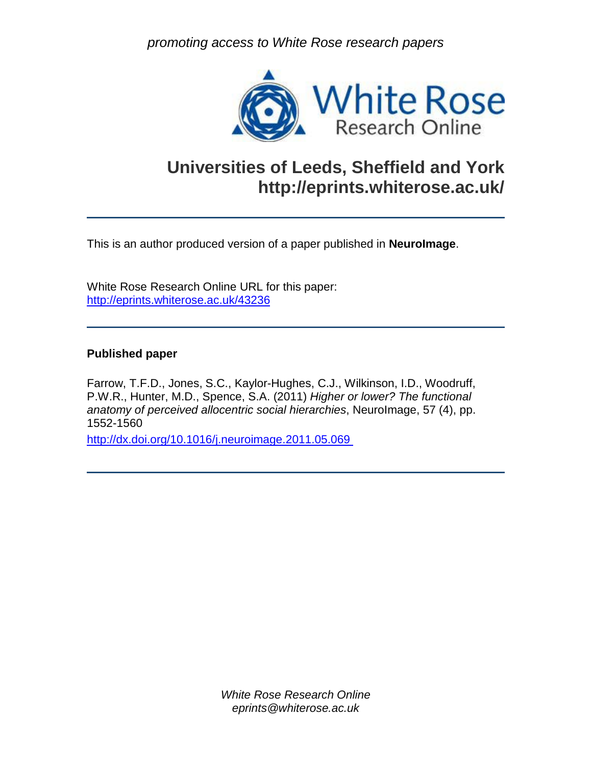*promoting access to White Rose research papers*



### **Universities of Leeds, Sheffield and York http://eprints.whiterose.ac.uk/**

This is an author produced version of a paper published in **NeuroImage**.

White Rose Research Online URL for this paper: <http://eprints.whiterose.ac.uk/43236>

#### **Published paper**

Farrow, T.F.D., Jones, S.C., Kaylor-Hughes, C.J., Wilkinson, I.D., Woodruff, P.W.R., Hunter, M.D., Spence, S.A. (2011) *Higher or lower? The functional anatomy of perceived allocentric social hierarchies*, NeuroImage, 57 (4), pp. 1552-1560

<http://dx.doi.org/10.1016/j.neuroimage.2011.05.069>

*White Rose Research Online eprints@whiterose.ac.uk*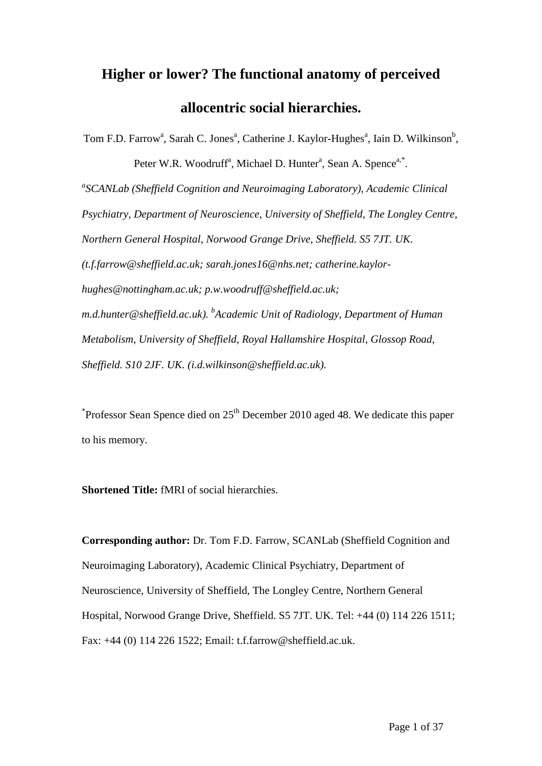## **Higher or lower? The functional anatomy of perceived allocentric social hierarchies.**

Tom F.D. Farrow<sup>a</sup>, Sarah C. Jones<sup>a</sup>, Catherine J. Kaylor-Hughes<sup>a</sup>, Iain D. Wilkinson<sup>b</sup>, Peter W.R. Woodruff<sup>a</sup>, Michael D. Hunter<sup>a</sup>, Sean A. Spence<sup>a,\*</sup>. <sup>a</sup>SCANLab (Sheffield Cognition and Neuroimaging Laboratory), Academic Clinical *Psychiatry, Department of Neuroscience, University of Sheffield, The Longley Centre, Northern General Hospital, Norwood Grange Drive, Sheffield. S5 7JT. UK. (t.f.farrow@sheffield.ac.uk; sarah.jones16@nhs.net; catherine.kaylorhughes@nottingham.ac.uk; p.w.woodruff@sheffield.ac.uk; m.d.hunter@sheffield.ac.uk). <sup>b</sup> Academic Unit of Radiology, Department of Human Metabolism, University of Sheffield, Royal Hallamshire Hospital, Glossop Road, Sheffield. S10 2JF. UK. (i.d.wilkinson@sheffield.ac.uk).*

 $*$ Professor Sean Spence died on 25<sup>th</sup> December 2010 aged 48. We dedicate this paper to his memory.

**Shortened Title:** fMRI of social hierarchies.

**Corresponding author:** Dr. Tom F.D. Farrow, SCANLab (Sheffield Cognition and Neuroimaging Laboratory), Academic Clinical Psychiatry, Department of Neuroscience, University of Sheffield, The Longley Centre, Northern General Hospital, Norwood Grange Drive, Sheffield. S5 7JT. UK. Tel: +44 (0) 114 226 1511; Fax: +44 (0) 114 226 1522; Email: t.f.farrow@sheffield.ac.uk.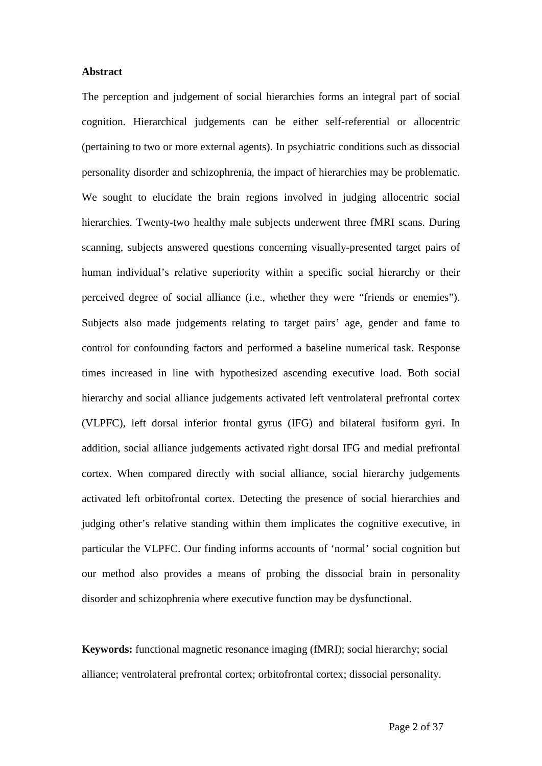#### **Abstract**

The perception and judgement of social hierarchies forms an integral part of social cognition. Hierarchical judgements can be either self-referential or allocentric (pertaining to two or more external agents). In psychiatric conditions such as dissocial personality disorder and schizophrenia, the impact of hierarchies may be problematic. We sought to elucidate the brain regions involved in judging allocentric social hierarchies. Twenty-two healthy male subjects underwent three fMRI scans. During scanning, subjects answered questions concerning visually-presented target pairs of human individual's relative superiority within a specific social hierarchy or their perceived degree of social alliance (i.e., whether they were "friends or enemies"). Subjects also made judgements relating to target pairs' age, gender and fame to control for confounding factors and performed a baseline numerical task. Response times increased in line with hypothesized ascending executive load. Both social hierarchy and social alliance judgements activated left ventrolateral prefrontal cortex (VLPFC), left dorsal inferior frontal gyrus (IFG) and bilateral fusiform gyri. In addition, social alliance judgements activated right dorsal IFG and medial prefrontal cortex. When compared directly with social alliance, social hierarchy judgements activated left orbitofrontal cortex. Detecting the presence of social hierarchies and judging other's relative standing within them implicates the cognitive executive, in particular the VLPFC. Our finding informs accounts of 'normal' social cognition but our method also provides a means of probing the dissocial brain in personality disorder and schizophrenia where executive function may be dysfunctional.

**Keywords:** functional magnetic resonance imaging (fMRI); social hierarchy; social alliance; ventrolateral prefrontal cortex; orbitofrontal cortex; dissocial personality.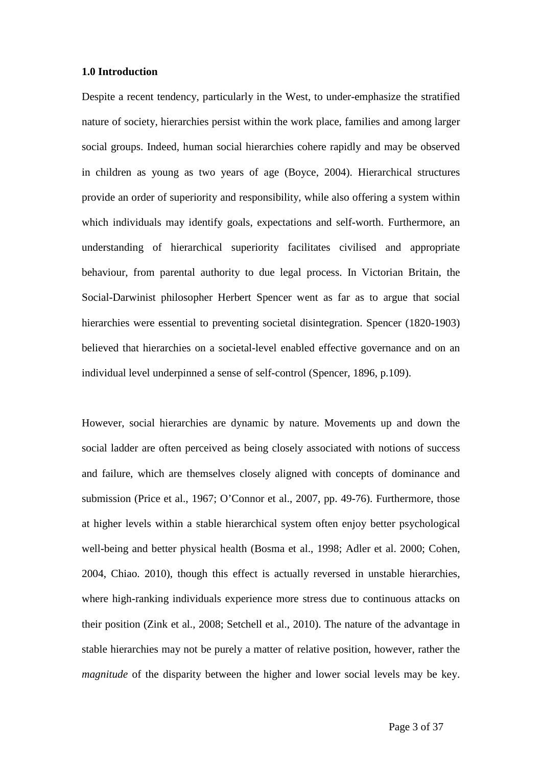#### **1.0 Introduction**

Despite a recent tendency, particularly in the West, to under-emphasize the stratified nature of society, hierarchies persist within the work place, families and among larger social groups. Indeed, human social hierarchies cohere rapidly and may be observed in children as young as two years of age (Boyce, 2004). Hierarchical structures provide an order of superiority and responsibility, while also offering a system within which individuals may identify goals, expectations and self-worth. Furthermore, an understanding of hierarchical superiority facilitates civilised and appropriate behaviour, from parental authority to due legal process. In Victorian Britain, the Social-Darwinist philosopher Herbert Spencer went as far as to argue that social hierarchies were essential to preventing societal disintegration. Spencer (1820-1903) believed that hierarchies on a societal-level enabled effective governance and on an individual level underpinned a sense of self-control (Spencer, 1896, p.109).

However, social hierarchies are dynamic by nature. Movements up and down the social ladder are often perceived as being closely associated with notions of success and failure, which are themselves closely aligned with concepts of dominance and submission (Price et al., 1967; O'Connor et al., 2007, pp. 49-76). Furthermore, those at higher levels within a stable hierarchical system often enjoy better psychological well-being and better physical health (Bosma et al., 1998; Adler et al. 2000; Cohen, 2004, Chiao. 2010), though this effect is actually reversed in unstable hierarchies, where high-ranking individuals experience more stress due to continuous attacks on their position (Zink et al., 2008; Setchell et al., 2010). The nature of the advantage in stable hierarchies may not be purely a matter of relative position, however, rather the *magnitude* of the disparity between the higher and lower social levels may be key.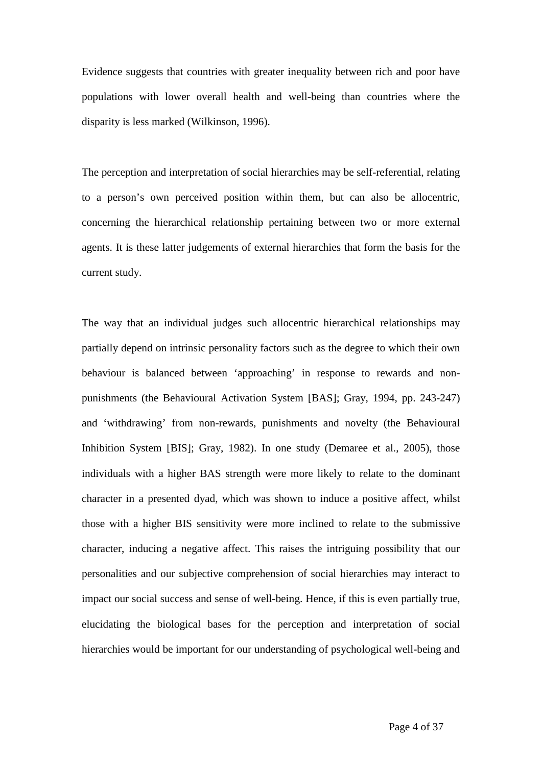Evidence suggests that countries with greater inequality between rich and poor have populations with lower overall health and well-being than countries where the disparity is less marked (Wilkinson, 1996).

The perception and interpretation of social hierarchies may be self-referential, relating to a person's own perceived position within them, but can also be allocentric, concerning the hierarchical relationship pertaining between two or more external agents. It is these latter judgements of external hierarchies that form the basis for the current study.

The way that an individual judges such allocentric hierarchical relationships may partially depend on intrinsic personality factors such as the degree to which their own behaviour is balanced between 'approaching' in response to rewards and nonpunishments (the Behavioural Activation System [BAS]; Gray, 1994, pp. 243-247) and 'withdrawing' from non-rewards, punishments and novelty (the Behavioural Inhibition System [BIS]; Gray, 1982). In one study (Demaree et al., 2005), those individuals with a higher BAS strength were more likely to relate to the dominant character in a presented dyad, which was shown to induce a positive affect, whilst those with a higher BIS sensitivity were more inclined to relate to the submissive character, inducing a negative affect. This raises the intriguing possibility that our personalities and our subjective comprehension of social hierarchies may interact to impact our social success and sense of well-being. Hence, if this is even partially true, elucidating the biological bases for the perception and interpretation of social hierarchies would be important for our understanding of psychological well-being and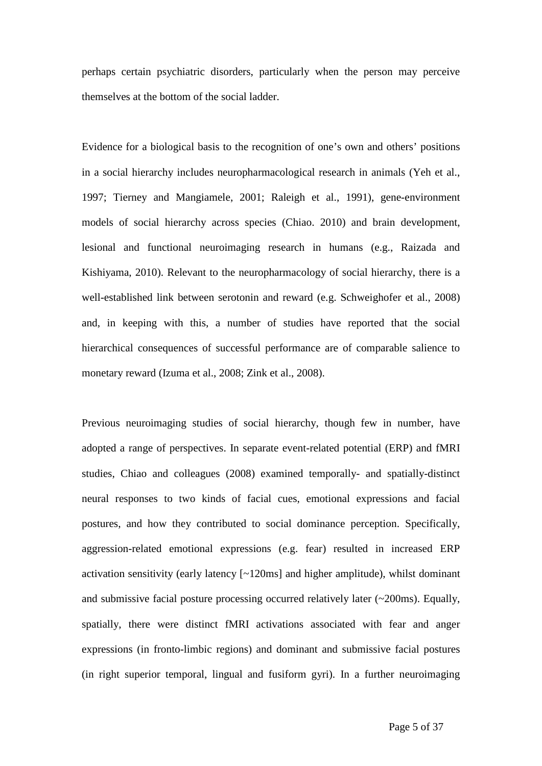perhaps certain psychiatric disorders, particularly when the person may perceive themselves at the bottom of the social ladder.

Evidence for a biological basis to the recognition of one's own and others' positions in a social hierarchy includes neuropharmacological research in animals (Yeh et al., 1997; Tierney and Mangiamele, 2001; Raleigh et al., 1991), gene-environment models of social hierarchy across species (Chiao. 2010) and brain development, lesional and functional neuroimaging research in humans (e.g., Raizada and Kishiyama, 2010). Relevant to the neuropharmacology of social hierarchy, there is a well-established link between serotonin and reward (e.g. Schweighofer et al., 2008) and, in keeping with this, a number of studies have reported that the social hierarchical consequences of successful performance are of comparable salience to monetary reward (Izuma et al., 2008; Zink et al., 2008).

Previous neuroimaging studies of social hierarchy, though few in number, have adopted a range of perspectives. In separate event-related potential (ERP) and fMRI studies, Chiao and colleagues (2008) examined temporally- and spatially-distinct neural responses to two kinds of facial cues, emotional expressions and facial postures, and how they contributed to social dominance perception. Specifically, aggression-related emotional expressions (e.g. fear) resulted in increased ERP activation sensitivity (early latency [~120ms] and higher amplitude), whilst dominant and submissive facial posture processing occurred relatively later (~200ms). Equally, spatially, there were distinct fMRI activations associated with fear and anger expressions (in fronto-limbic regions) and dominant and submissive facial postures (in right superior temporal, lingual and fusiform gyri). In a further neuroimaging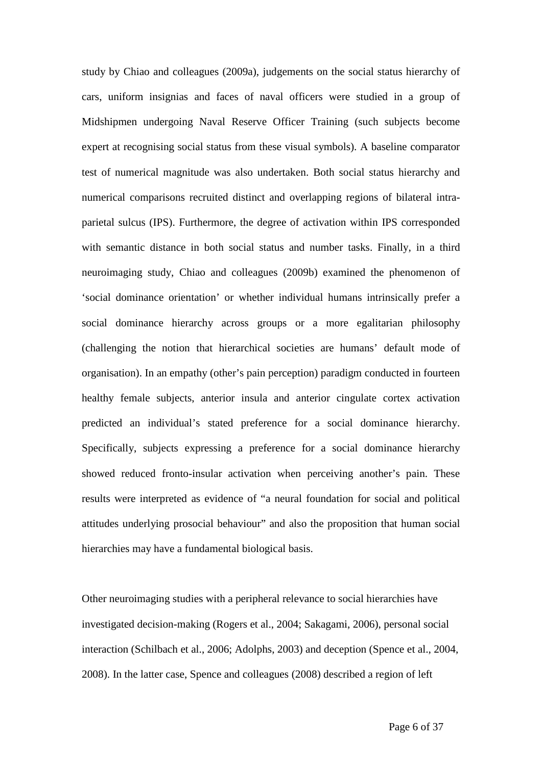study by Chiao and colleagues (2009a), judgements on the social status hierarchy of cars, uniform insignias and faces of naval officers were studied in a group of Midshipmen undergoing Naval Reserve Officer Training (such subjects become expert at recognising social status from these visual symbols). A baseline comparator test of numerical magnitude was also undertaken. Both social status hierarchy and numerical comparisons recruited distinct and overlapping regions of bilateral intraparietal sulcus (IPS). Furthermore, the degree of activation within IPS corresponded with semantic distance in both social status and number tasks. Finally, in a third neuroimaging study, Chiao and colleagues (2009b) examined the phenomenon of 'social dominance orientation' or whether individual humans intrinsically prefer a social dominance hierarchy across groups or a more egalitarian philosophy (challenging the notion that hierarchical societies are humans' default mode of organisation). In an empathy (other's pain perception) paradigm conducted in fourteen healthy female subjects, anterior insula and anterior cingulate cortex activation predicted an individual's stated preference for a social dominance hierarchy. Specifically, subjects expressing a preference for a social dominance hierarchy showed reduced fronto-insular activation when perceiving another's pain. These results were interpreted as evidence of "a neural foundation for social and political attitudes underlying prosocial behaviour" and also the proposition that human social hierarchies may have a fundamental biological basis.

Other neuroimaging studies with a peripheral relevance to social hierarchies have investigated decision-making (Rogers et al., 2004; Sakagami, 2006), personal social interaction (Schilbach et al., 2006; Adolphs, 2003) and deception (Spence et al., 2004, 2008). In the latter case, Spence and colleagues (2008) described a region of left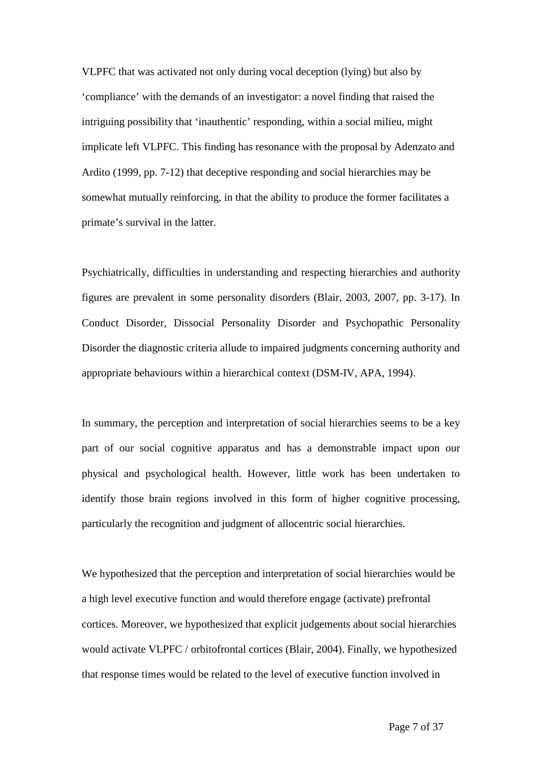VLPFC that was activated not only during vocal deception (lying) but also by 'compliance' with the demands of an investigator: a novel finding that raised the intriguing possibility that 'inauthentic' responding, within a social milieu, might implicate left VLPFC. This finding has resonance with the proposal by Adenzato and Ardito (1999, pp. 7-12) that deceptive responding and social hierarchies may be somewhat mutually reinforcing, in that the ability to produce the former facilitates a primate's survival in the latter.

Psychiatrically, difficulties in understanding and respecting hierarchies and authority figures are prevalent in some personality disorders (Blair, 2003, 2007, pp. 3-17). In Conduct Disorder, Dissocial Personality Disorder and Psychopathic Personality Disorder the diagnostic criteria allude to impaired judgments concerning authority and appropriate behaviours within a hierarchical context (DSM-IV, APA, 1994).

In summary, the perception and interpretation of social hierarchies seems to be a key part of our social cognitive apparatus and has a demonstrable impact upon our physical and psychological health. However, little work has been undertaken to identify those brain regions involved in this form of higher cognitive processing, particularly the recognition and judgment of allocentric social hierarchies.

We hypothesized that the perception and interpretation of social hierarchies would be a high level executive function and would therefore engage (activate) prefrontal cortices. Moreover, we hypothesized that explicit judgements about social hierarchies would activate VLPFC / orbitofrontal cortices (Blair, 2004). Finally, we hypothesized that response times would be related to the level of executive function involved in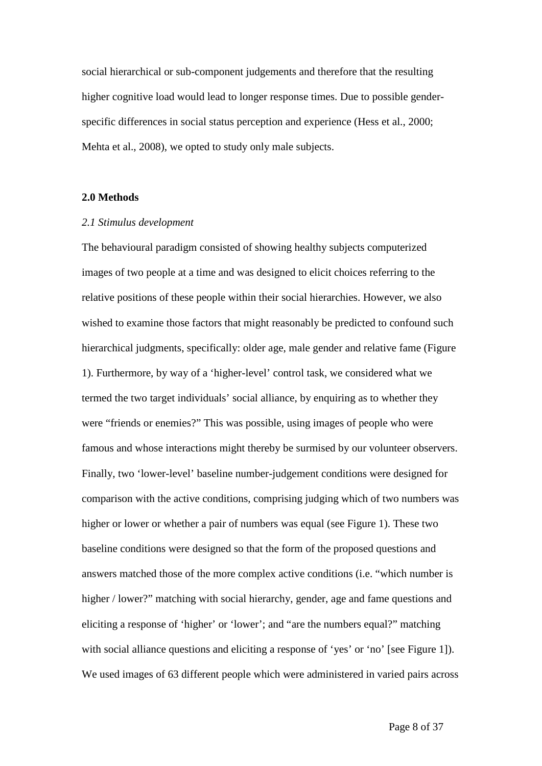social hierarchical or sub-component judgements and therefore that the resulting higher cognitive load would lead to longer response times. Due to possible genderspecific differences in social status perception and experience (Hess et al., 2000; Mehta et al., 2008), we opted to study only male subjects.

#### **2.0 Methods**

#### *2.1 Stimulus development*

The behavioural paradigm consisted of showing healthy subjects computerized images of two people at a time and was designed to elicit choices referring to the relative positions of these people within their social hierarchies. However, we also wished to examine those factors that might reasonably be predicted to confound such hierarchical judgments, specifically: older age, male gender and relative fame (Figure 1). Furthermore, by way of a 'higher-level' control task, we considered what we termed the two target individuals' social alliance, by enquiring as to whether they were "friends or enemies?" This was possible, using images of people who were famous and whose interactions might thereby be surmised by our volunteer observers. Finally, two 'lower-level' baseline number-judgement conditions were designed for comparison with the active conditions, comprising judging which of two numbers was higher or lower or whether a pair of numbers was equal (see Figure 1). These two baseline conditions were designed so that the form of the proposed questions and answers matched those of the more complex active conditions (i.e. "which number is higher / lower?" matching with social hierarchy, gender, age and fame questions and eliciting a response of 'higher' or 'lower'; and "are the numbers equal?" matching with social alliance questions and eliciting a response of 'yes' or 'no' [see Figure 1]). We used images of 63 different people which were administered in varied pairs across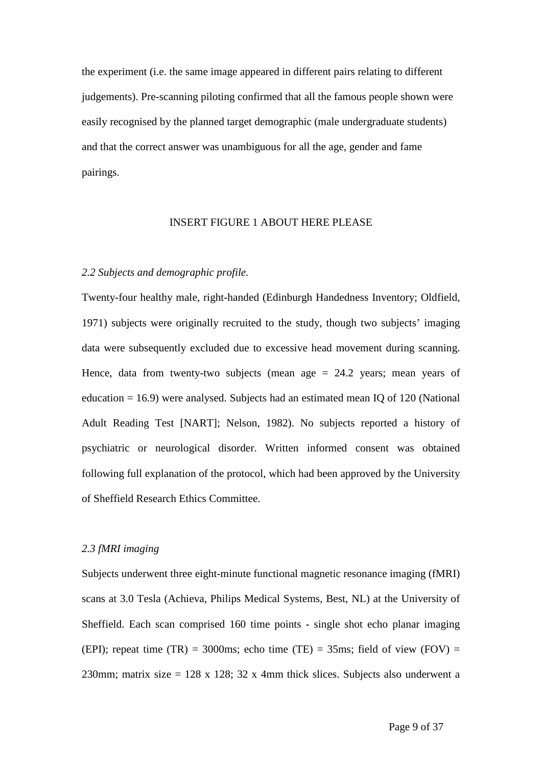the experiment (i.e. the same image appeared in different pairs relating to different judgements). Pre-scanning piloting confirmed that all the famous people shown were easily recognised by the planned target demographic (male undergraduate students) and that the correct answer was unambiguous for all the age, gender and fame pairings.

#### INSERT FIGURE 1 ABOUT HERE PLEASE

#### *2.2 Subjects and demographic profile.*

Twenty-four healthy male, right-handed (Edinburgh Handedness Inventory; Oldfield, 1971) subjects were originally recruited to the study, though two subjects' imaging data were subsequently excluded due to excessive head movement during scanning. Hence, data from twenty-two subjects (mean age  $= 24.2$  years; mean years of education = 16.9) were analysed. Subjects had an estimated mean IQ of 120 (National Adult Reading Test [NART]; Nelson, 1982). No subjects reported a history of psychiatric or neurological disorder. Written informed consent was obtained following full explanation of the protocol, which had been approved by the University of Sheffield Research Ethics Committee.

#### *2.3 fMRI imaging*

Subjects underwent three eight-minute functional magnetic resonance imaging (fMRI) scans at 3.0 Tesla (Achieva, Philips Medical Systems, Best, NL) at the University of Sheffield. Each scan comprised 160 time points - single shot echo planar imaging (EPI); repeat time (TR) = 3000ms; echo time (TE) = 35ms; field of view (FOV) = 230mm; matrix size = 128 x 128; 32 x 4mm thick slices. Subjects also underwent a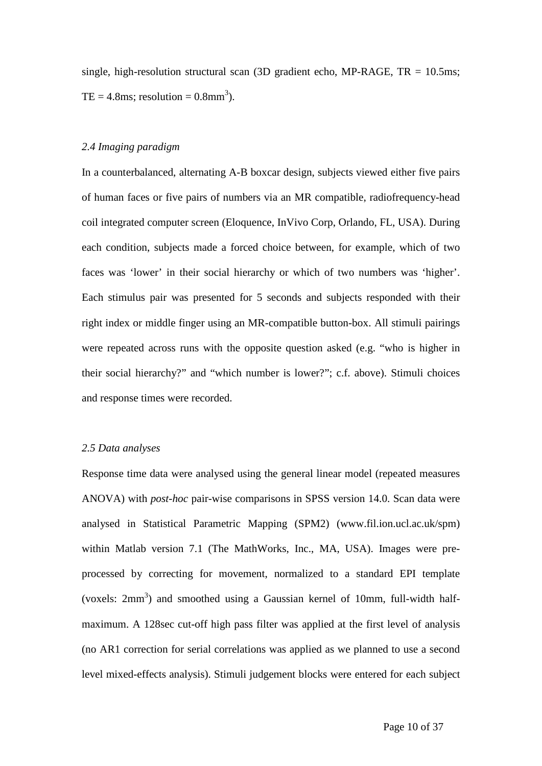single, high-resolution structural scan (3D gradient echo, MP-RAGE,  $TR = 10.5$ ms;  $TE = 4.8 \text{ms}$ ; resolution =  $0.8 \text{mm}^3$ ).

#### *2.4 Imaging paradigm*

In a counterbalanced, alternating A-B boxcar design, subjects viewed either five pairs of human faces or five pairs of numbers via an MR compatible, radiofrequency-head coil integrated computer screen (Eloquence, InVivo Corp, Orlando, FL, USA). During each condition, subjects made a forced choice between, for example, which of two faces was 'lower' in their social hierarchy or which of two numbers was 'higher'. Each stimulus pair was presented for 5 seconds and subjects responded with their right index or middle finger using an MR-compatible button-box. All stimuli pairings were repeated across runs with the opposite question asked (e.g. "who is higher in their social hierarchy?" and "which number is lower?"; c.f. above). Stimuli choices and response times were recorded.

#### *2.5 Data analyses*

Response time data were analysed using the general linear model (repeated measures ANOVA) with *post-hoc* pair-wise comparisons in SPSS version 14.0. Scan data were analysed in Statistical Parametric Mapping (SPM2) (www.fil.ion.ucl.ac.uk/spm) within Matlab version 7.1 (The MathWorks, Inc., MA, USA). Images were preprocessed by correcting for movement, normalized to a standard EPI template (voxels:  $2mm<sup>3</sup>$ ) and smoothed using a Gaussian kernel of 10mm, full-width halfmaximum. A 128sec cut-off high pass filter was applied at the first level of analysis (no AR1 correction for serial correlations was applied as we planned to use a second level mixed-effects analysis). Stimuli judgement blocks were entered for each subject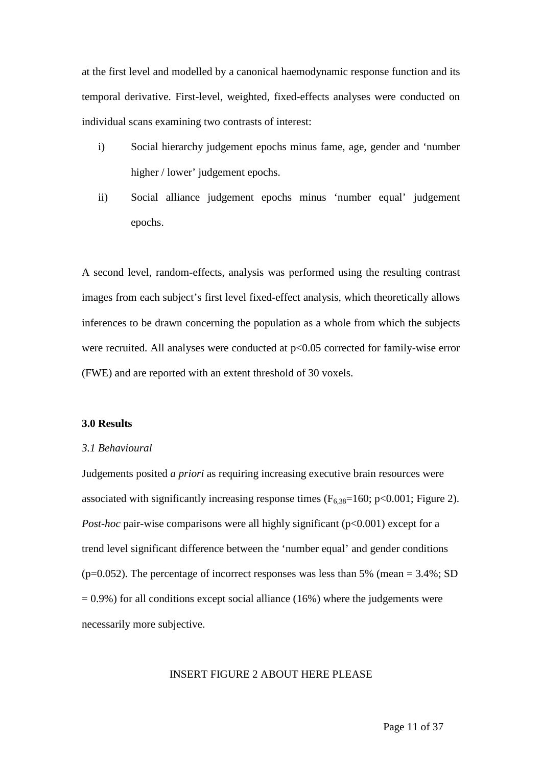at the first level and modelled by a canonical haemodynamic response function and its temporal derivative. First-level, weighted, fixed-effects analyses were conducted on individual scans examining two contrasts of interest:

- i) Social hierarchy judgement epochs minus fame, age, gender and 'number higher / lower' judgement epochs.
- ii) Social alliance judgement epochs minus 'number equal' judgement epochs.

A second level, random-effects, analysis was performed using the resulting contrast images from each subject's first level fixed-effect analysis, which theoretically allows inferences to be drawn concerning the population as a whole from which the subjects were recruited. All analyses were conducted at  $p<0.05$  corrected for family-wise error (FWE) and are reported with an extent threshold of 30 voxels.

#### **3.0 Results**

#### *3.1 Behavioural*

Judgements posited *a priori* as requiring increasing executive brain resources were associated with significantly increasing response times ( $F_{6,38}=160$ ; p<0.001; Figure 2). *Post-hoc* pair-wise comparisons were all highly significant (p<0.001) except for a trend level significant difference between the 'number equal' and gender conditions (p=0.052). The percentage of incorrect responses was less than 5% (mean =  $3.4\%$ ; SD  $= 0.9\%$ ) for all conditions except social alliance (16%) where the judgements were necessarily more subjective.

#### INSERT FIGURE 2 ABOUT HERE PLEASE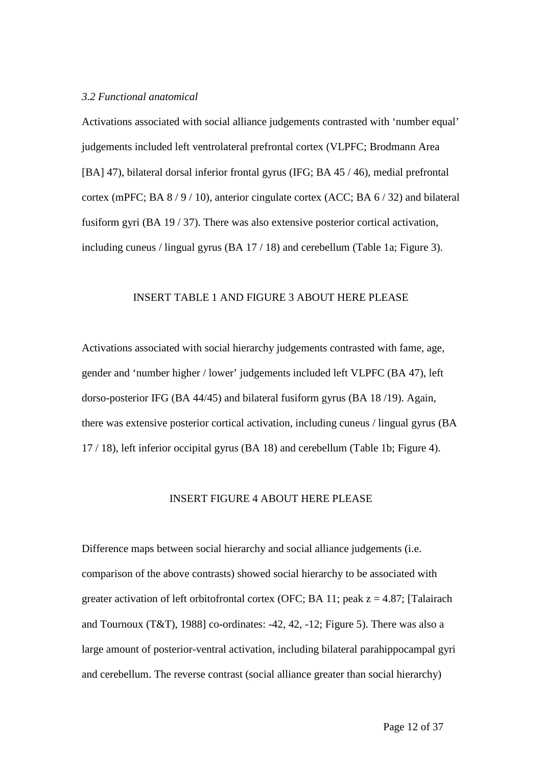#### *3.2 Functional anatomical*

Activations associated with social alliance judgements contrasted with 'number equal' judgements included left ventrolateral prefrontal cortex (VLPFC; Brodmann Area [BA] 47), bilateral dorsal inferior frontal gyrus (IFG; BA 45 / 46), medial prefrontal cortex (mPFC; BA 8 / 9 / 10), anterior cingulate cortex (ACC; BA 6 / 32) and bilateral fusiform gyri (BA 19 / 37). There was also extensive posterior cortical activation, including cuneus / lingual gyrus (BA 17 / 18) and cerebellum (Table 1a; Figure 3).

#### INSERT TABLE 1 AND FIGURE 3 ABOUT HERE PLEASE

Activations associated with social hierarchy judgements contrasted with fame, age, gender and 'number higher / lower' judgements included left VLPFC (BA 47), left dorso-posterior IFG (BA 44/45) and bilateral fusiform gyrus (BA 18 /19). Again, there was extensive posterior cortical activation, including cuneus / lingual gyrus (BA 17 / 18), left inferior occipital gyrus (BA 18) and cerebellum (Table 1b; Figure 4).

#### INSERT FIGURE 4 ABOUT HERE PLEASE

Difference maps between social hierarchy and social alliance judgements (i.e. comparison of the above contrasts) showed social hierarchy to be associated with greater activation of left orbitofrontal cortex (OFC; BA 11; peak  $z = 4.87$ ; [Talairach and Tournoux (T&T), 1988] co-ordinates: -42, 42, -12; Figure 5). There was also a large amount of posterior-ventral activation, including bilateral parahippocampal gyri and cerebellum. The reverse contrast (social alliance greater than social hierarchy)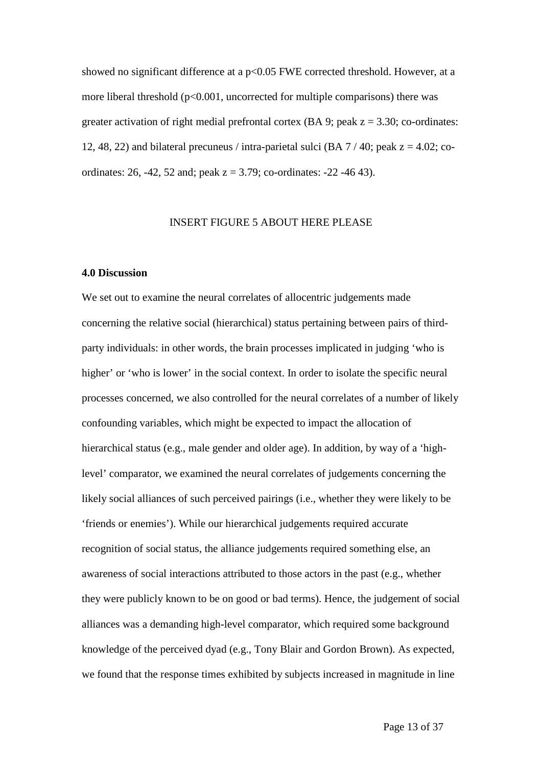showed no significant difference at a  $p<0.05$  FWE corrected threshold. However, at a more liberal threshold  $(p<0.001$ , uncorrected for multiple comparisons) there was greater activation of right medial prefrontal cortex (BA 9; peak  $z = 3.30$ ; co-ordinates: 12, 48, 22) and bilateral precuneus / intra-parietal sulci (BA  $7/40$ ; peak  $z = 4.02$ ; coordinates: 26, -42, 52 and; peak  $z = 3.79$ ; co-ordinates: -22 -46 43).

#### INSERT FIGURE 5 ABOUT HERE PLEASE

#### **4.0 Discussion**

We set out to examine the neural correlates of allocentric judgements made concerning the relative social (hierarchical) status pertaining between pairs of thirdparty individuals: in other words, the brain processes implicated in judging 'who is higher' or 'who is lower' in the social context. In order to isolate the specific neural processes concerned, we also controlled for the neural correlates of a number of likely confounding variables, which might be expected to impact the allocation of hierarchical status (e.g., male gender and older age). In addition, by way of a 'highlevel' comparator, we examined the neural correlates of judgements concerning the likely social alliances of such perceived pairings (i.e., whether they were likely to be 'friends or enemies'). While our hierarchical judgements required accurate recognition of social status, the alliance judgements required something else, an awareness of social interactions attributed to those actors in the past (e.g., whether they were publicly known to be on good or bad terms). Hence, the judgement of social alliances was a demanding high-level comparator, which required some background knowledge of the perceived dyad (e.g., Tony Blair and Gordon Brown). As expected, we found that the response times exhibited by subjects increased in magnitude in line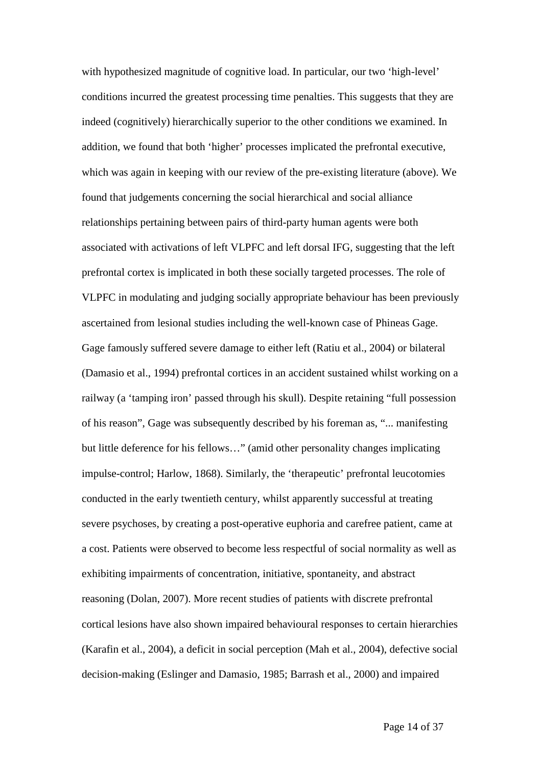with hypothesized magnitude of cognitive load. In particular, our two 'high-level' conditions incurred the greatest processing time penalties. This suggests that they are indeed (cognitively) hierarchically superior to the other conditions we examined. In addition, we found that both 'higher' processes implicated the prefrontal executive, which was again in keeping with our review of the pre-existing literature (above). We found that judgements concerning the social hierarchical and social alliance relationships pertaining between pairs of third-party human agents were both associated with activations of left VLPFC and left dorsal IFG, suggesting that the left prefrontal cortex is implicated in both these socially targeted processes. The role of VLPFC in modulating and judging socially appropriate behaviour has been previously ascertained from lesional studies including the well-known case of Phineas Gage. Gage famously suffered severe damage to either left (Ratiu et al., 2004) or bilateral (Damasio et al., 1994) prefrontal cortices in an accident sustained whilst working on a railway (a 'tamping iron' passed through his skull). Despite retaining "full possession of his reason", Gage was subsequently described by his foreman as, "... manifesting but little deference for his fellows…" (amid other personality changes implicating impulse-control; Harlow, 1868). Similarly, the 'therapeutic' prefrontal leucotomies conducted in the early twentieth century, whilst apparently successful at treating severe psychoses, by creating a post-operative euphoria and carefree patient, came at a cost. Patients were observed to become less respectful of social normality as well as exhibiting impairments of concentration, initiative, spontaneity, and abstract reasoning (Dolan, 2007). More recent studies of patients with discrete prefrontal cortical lesions have also shown impaired behavioural responses to certain hierarchies (Karafin et al., 2004), a deficit in social perception (Mah et al., 2004), defective social decision-making (Eslinger and Damasio, 1985; Barrash et al., 2000) and impaired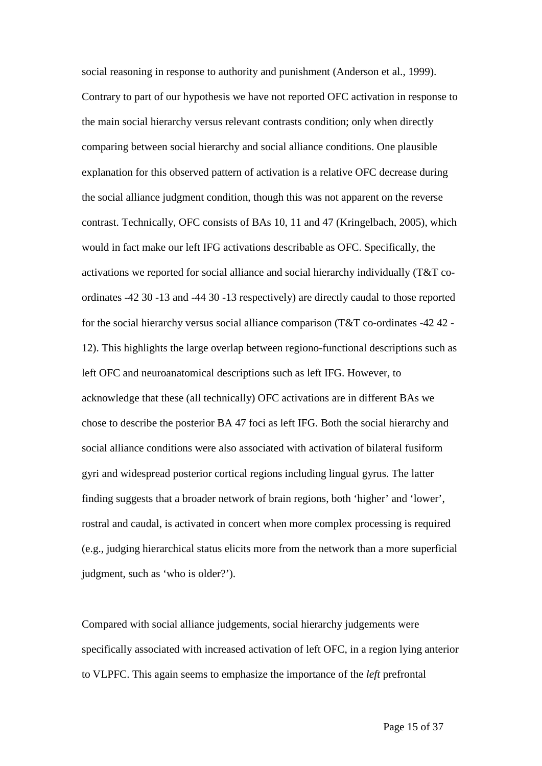social reasoning in response to authority and punishment (Anderson et al., 1999). Contrary to part of our hypothesis we have not reported OFC activation in response to the main social hierarchy versus relevant contrasts condition; only when directly comparing between social hierarchy and social alliance conditions. One plausible explanation for this observed pattern of activation is a relative OFC decrease during the social alliance judgment condition, though this was not apparent on the reverse contrast. Technically, OFC consists of BAs 10, 11 and 47 (Kringelbach, 2005), which would in fact make our left IFG activations describable as OFC. Specifically, the activations we reported for social alliance and social hierarchy individually (T&T coordinates -42 30 -13 and -44 30 -13 respectively) are directly caudal to those reported for the social hierarchy versus social alliance comparison (T&T co-ordinates -42 42 - 12). This highlights the large overlap between regiono-functional descriptions such as left OFC and neuroanatomical descriptions such as left IFG. However, to acknowledge that these (all technically) OFC activations are in different BAs we chose to describe the posterior BA 47 foci as left IFG. Both the social hierarchy and social alliance conditions were also associated with activation of bilateral fusiform gyri and widespread posterior cortical regions including lingual gyrus. The latter finding suggests that a broader network of brain regions, both 'higher' and 'lower', rostral and caudal, is activated in concert when more complex processing is required (e.g., judging hierarchical status elicits more from the network than a more superficial judgment, such as 'who is older?').

Compared with social alliance judgements, social hierarchy judgements were specifically associated with increased activation of left OFC, in a region lying anterior to VLPFC. This again seems to emphasize the importance of the *left* prefrontal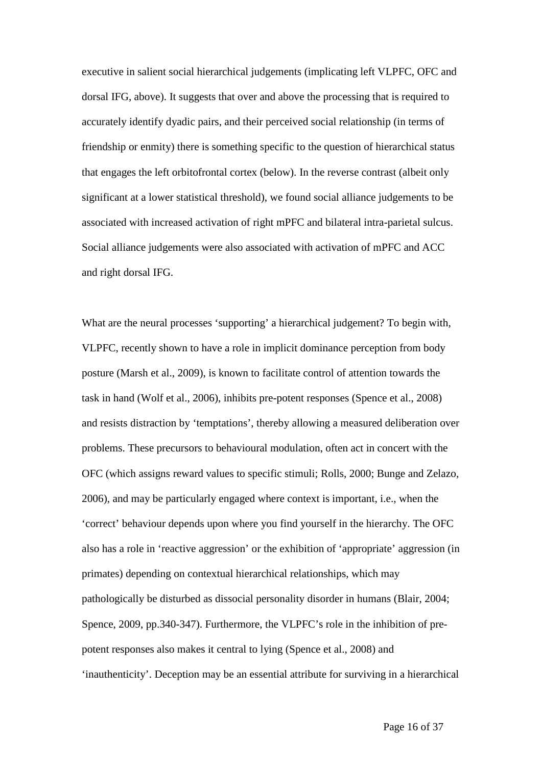executive in salient social hierarchical judgements (implicating left VLPFC, OFC and dorsal IFG, above). It suggests that over and above the processing that is required to accurately identify dyadic pairs, and their perceived social relationship (in terms of friendship or enmity) there is something specific to the question of hierarchical status that engages the left orbitofrontal cortex (below). In the reverse contrast (albeit only significant at a lower statistical threshold), we found social alliance judgements to be associated with increased activation of right mPFC and bilateral intra-parietal sulcus. Social alliance judgements were also associated with activation of mPFC and ACC and right dorsal IFG.

What are the neural processes 'supporting' a hierarchical judgement? To begin with, VLPFC, recently shown to have a role in implicit dominance perception from body posture (Marsh et al., 2009), is known to facilitate control of attention towards the task in hand (Wolf et al., 2006), inhibits pre-potent responses (Spence et al., 2008) and resists distraction by 'temptations', thereby allowing a measured deliberation over problems. These precursors to behavioural modulation, often act in concert with the OFC (which assigns reward values to specific stimuli; Rolls, 2000; Bunge and Zelazo, 2006), and may be particularly engaged where context is important, i.e., when the 'correct' behaviour depends upon where you find yourself in the hierarchy. The OFC also has a role in 'reactive aggression' or the exhibition of 'appropriate' aggression (in primates) depending on contextual hierarchical relationships, which may pathologically be disturbed as dissocial personality disorder in humans (Blair, 2004; Spence, 2009, pp.340-347). Furthermore, the VLPFC's role in the inhibition of prepotent responses also makes it central to lying (Spence et al., 2008) and 'inauthenticity'. Deception may be an essential attribute for surviving in a hierarchical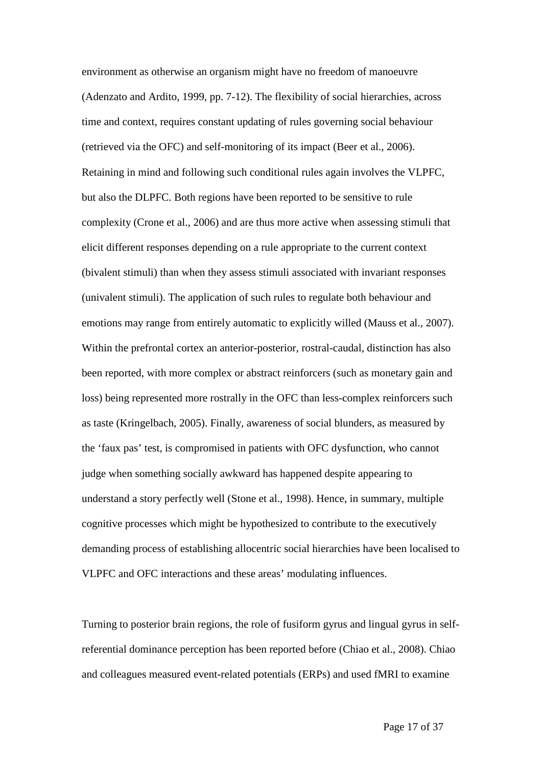environment as otherwise an organism might have no freedom of manoeuvre (Adenzato and Ardito, 1999, pp. 7-12). The flexibility of social hierarchies, across time and context, requires constant updating of rules governing social behaviour (retrieved via the OFC) and self-monitoring of its impact (Beer et al., 2006). Retaining in mind and following such conditional rules again involves the VLPFC, but also the DLPFC. Both regions have been reported to be sensitive to rule complexity (Crone et al., 2006) and are thus more active when assessing stimuli that elicit different responses depending on a rule appropriate to the current context (bivalent stimuli) than when they assess stimuli associated with invariant responses (univalent stimuli). The application of such rules to regulate both behaviour and emotions may range from entirely automatic to explicitly willed (Mauss et al., 2007). Within the prefrontal cortex an anterior-posterior, rostral-caudal, distinction has also been reported, with more complex or abstract reinforcers (such as monetary gain and loss) being represented more rostrally in the OFC than less-complex reinforcers such as taste (Kringelbach, 2005). Finally, awareness of social blunders, as measured by the 'faux pas' test, is compromised in patients with OFC dysfunction, who cannot judge when something socially awkward has happened despite appearing to understand a story perfectly well (Stone et al., 1998). Hence, in summary, multiple cognitive processes which might be hypothesized to contribute to the executively demanding process of establishing allocentric social hierarchies have been localised to VLPFC and OFC interactions and these areas' modulating influences.

Turning to posterior brain regions, the role of fusiform gyrus and lingual gyrus in selfreferential dominance perception has been reported before (Chiao et al., 2008). Chiao and colleagues measured event-related potentials (ERPs) and used fMRI to examine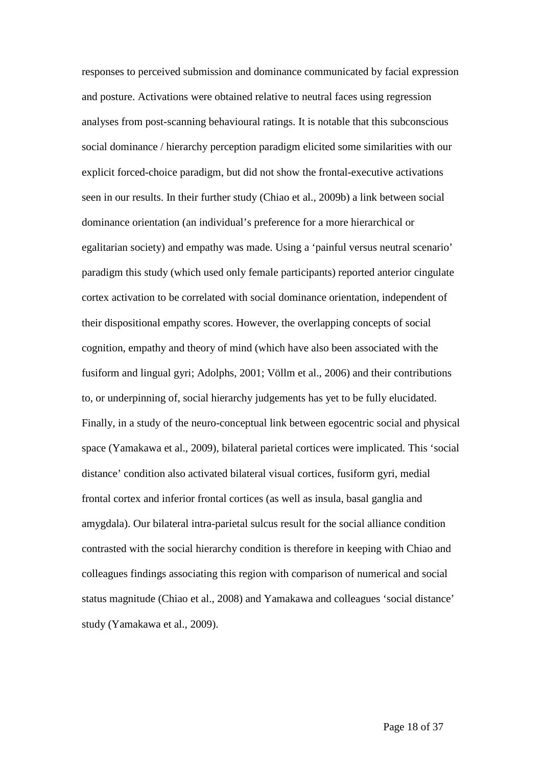responses to perceived submission and dominance communicated by facial expression and posture. Activations were obtained relative to neutral faces using regression analyses from post-scanning behavioural ratings. It is notable that this subconscious social dominance / hierarchy perception paradigm elicited some similarities with our explicit forced-choice paradigm, but did not show the frontal-executive activations seen in our results. In their further study (Chiao et al., 2009b) a link between social dominance orientation (an individual's preference for a more hierarchical or egalitarian society) and empathy was made. Using a 'painful versus neutral scenario' paradigm this study (which used only female participants) reported anterior cingulate cortex activation to be correlated with social dominance orientation, independent of their dispositional empathy scores. However, the overlapping concepts of social cognition, empathy and theory of mind (which have also been associated with the fusiform and lingual gyri; Adolphs, 2001; Völlm et al., 2006) and their contributions to, or underpinning of, social hierarchy judgements has yet to be fully elucidated. Finally, in a study of the neuro-conceptual link between egocentric social and physical space (Yamakawa et al., 2009), bilateral parietal cortices were implicated. This 'social distance' condition also activated bilateral visual cortices, fusiform gyri, medial frontal cortex and inferior frontal cortices (as well as insula, basal ganglia and amygdala). Our bilateral intra-parietal sulcus result for the social alliance condition contrasted with the social hierarchy condition is therefore in keeping with Chiao and colleagues findings associating this region with comparison of numerical and social status magnitude (Chiao et al., 2008) and Yamakawa and colleagues 'social distance' study (Yamakawa et al., 2009).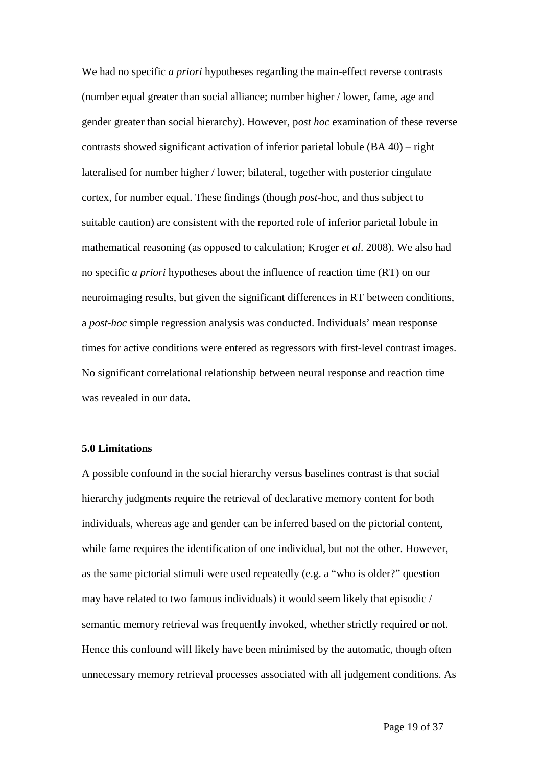We had no specific *a priori* hypotheses regarding the main-effect reverse contrasts (number equal greater than social alliance; number higher / lower, fame, age and gender greater than social hierarchy). However, p*ost hoc* examination of these reverse contrasts showed significant activation of inferior parietal lobule (BA 40) – right lateralised for number higher / lower; bilateral, together with posterior cingulate cortex, for number equal. These findings (though *post-*hoc, and thus subject to suitable caution) are consistent with the reported role of inferior parietal lobule in mathematical reasoning (as opposed to calculation; Kroger *et al*. 2008). We also had no specific *a priori* hypotheses about the influence of reaction time (RT) on our neuroimaging results, but given the significant differences in RT between conditions, a *post-hoc* simple regression analysis was conducted. Individuals' mean response times for active conditions were entered as regressors with first-level contrast images. No significant correlational relationship between neural response and reaction time was revealed in our data.

#### **5.0 Limitations**

A possible confound in the social hierarchy versus baselines contrast is that social hierarchy judgments require the retrieval of declarative memory content for both individuals, whereas age and gender can be inferred based on the pictorial content, while fame requires the identification of one individual, but not the other. However, as the same pictorial stimuli were used repeatedly (e.g. a "who is older?" question may have related to two famous individuals) it would seem likely that episodic / semantic memory retrieval was frequently invoked, whether strictly required or not. Hence this confound will likely have been minimised by the automatic, though often unnecessary memory retrieval processes associated with all judgement conditions. As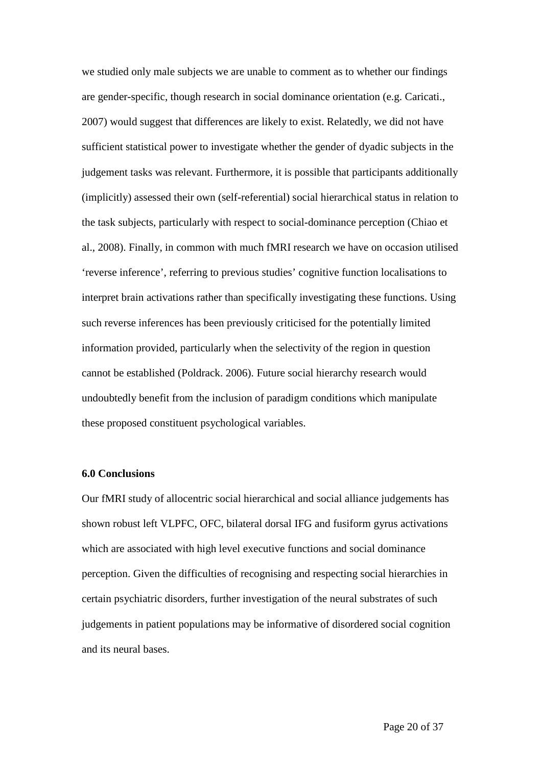we studied only male subjects we are unable to comment as to whether our findings are gender-specific, though research in social dominance orientation (e.g. Caricati., 2007) would suggest that differences are likely to exist. Relatedly, we did not have sufficient statistical power to investigate whether the gender of dyadic subjects in the judgement tasks was relevant. Furthermore, it is possible that participants additionally (implicitly) assessed their own (self-referential) social hierarchical status in relation to the task subjects, particularly with respect to social-dominance perception (Chiao et al., 2008). Finally, in common with much fMRI research we have on occasion utilised 'reverse inference', referring to previous studies' cognitive function localisations to interpret brain activations rather than specifically investigating these functions. Using such reverse inferences has been previously criticised for the potentially limited information provided, particularly when the selectivity of the region in question cannot be established (Poldrack. 2006). Future social hierarchy research would undoubtedly benefit from the inclusion of paradigm conditions which manipulate these proposed constituent psychological variables.

#### **6.0 Conclusions**

Our fMRI study of allocentric social hierarchical and social alliance judgements has shown robust left VLPFC, OFC, bilateral dorsal IFG and fusiform gyrus activations which are associated with high level executive functions and social dominance perception. Given the difficulties of recognising and respecting social hierarchies in certain psychiatric disorders, further investigation of the neural substrates of such judgements in patient populations may be informative of disordered social cognition and its neural bases.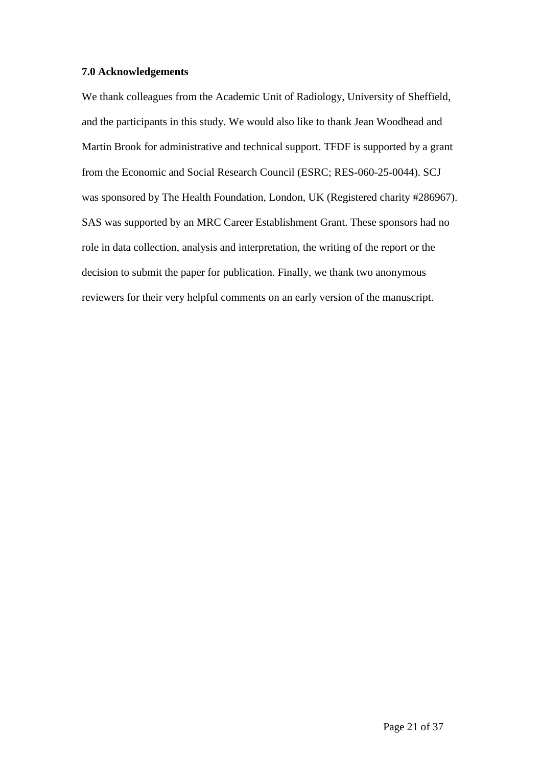#### **7.0 Acknowledgements**

We thank colleagues from the Academic Unit of Radiology, University of Sheffield, and the participants in this study. We would also like to thank Jean Woodhead and Martin Brook for administrative and technical support. TFDF is supported by a grant from the Economic and Social Research Council (ESRC; RES-060-25-0044). SCJ was sponsored by The Health Foundation, London, UK (Registered charity #286967). SAS was supported by an MRC Career Establishment Grant. These sponsors had no role in data collection, analysis and interpretation, the writing of the report or the decision to submit the paper for publication. Finally, we thank two anonymous reviewers for their very helpful comments on an early version of the manuscript.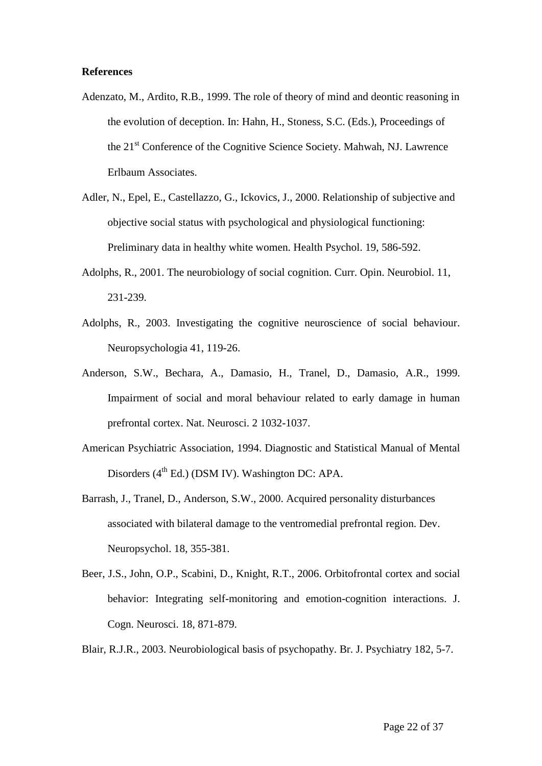#### **References**

- Adenzato, M., Ardito, R.B., 1999. The role of theory of mind and deontic reasoning in the evolution of deception. In: Hahn, H., Stoness, S.C. (Eds.), Proceedings of the 21st Conference of the Cognitive Science Society. Mahwah, NJ. Lawrence Erlbaum Associates.
- Adler, N., Epel, E., Castellazzo, G., Ickovics, J., 2000. Relationship of subjective and objective social status with psychological and physiological functioning: Preliminary data in healthy white women. Health Psychol. 19, 586-592.
- Adolphs, R., 2001. The neurobiology of social cognition. Curr. Opin. Neurobiol. 11, 231-239.
- Adolphs, R., 2003. Investigating the cognitive neuroscience of social behaviour. Neuropsychologia 41, 119-26.
- Anderson, S.W., Bechara, A., Damasio, H., Tranel, D., Damasio, A.R., 1999. Impairment of social and moral behaviour related to early damage in human prefrontal cortex. Nat. Neurosci. 2 1032-1037.
- American Psychiatric Association, 1994. Diagnostic and Statistical Manual of Mental Disorders  $(4<sup>th</sup> Ed.)$  (DSM IV). Washington DC: APA.
- Barrash, J., Tranel, D., Anderson, S.W., 2000. Acquired personality disturbances associated with bilateral damage to the ventromedial prefrontal region. Dev. Neuropsychol. 18, 355-381.
- Beer, J.S., John, O.P., Scabini, D., Knight, R.T., 2006. Orbitofrontal cortex and social behavior: Integrating self-monitoring and emotion-cognition interactions. J. Cogn. Neurosci. 18, 871-879.
- Blair, R.J.R., 2003. Neurobiological basis of psychopathy. Br. J. Psychiatry 182, 5-7.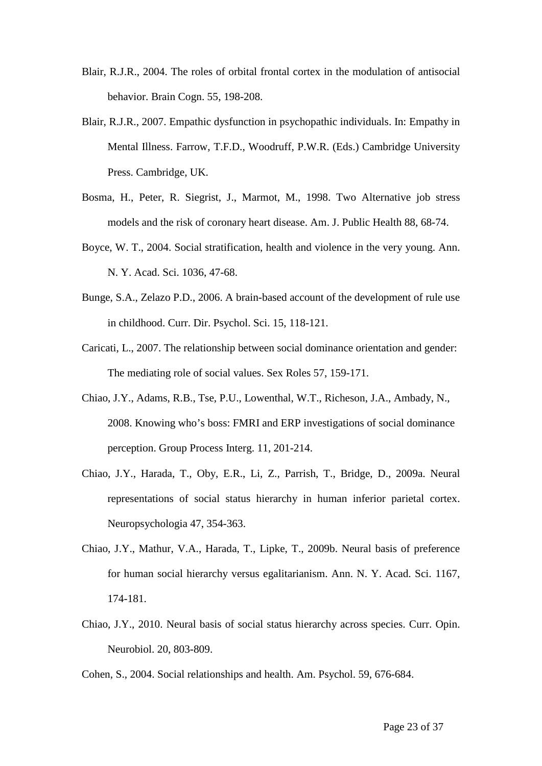- Blair, R.J.R., 2004. The roles of orbital frontal cortex in the modulation of antisocial behavior. Brain Cogn. 55, 198-208.
- Blair, R.J.R., 2007. Empathic dysfunction in psychopathic individuals. In: Empathy in Mental Illness. Farrow, T.F.D., Woodruff, P.W.R. (Eds.) Cambridge University Press. Cambridge, UK.
- Bosma, H., Peter, R. Siegrist, J., Marmot, M., 1998. Two Alternative job stress models and the risk of coronary heart disease. Am. J. Public Health 88, 68-74.
- Boyce, W. T., 2004. Social stratification, health and violence in the very young. Ann. N. Y. Acad. Sci. 1036, 47-68.
- Bunge, S.A., Zelazo P.D., 2006. A brain-based account of the development of rule use in childhood. Curr. Dir. Psychol. Sci. 15, 118-121.
- Caricati, L., 2007. The relationship between social dominance orientation and gender: The mediating role of social values. Sex Roles 57, 159-171.
- Chiao, J.Y., Adams, R.B., Tse, P.U., Lowenthal, W.T., Richeson, J.A., Ambady, N., 2008. Knowing who's boss: FMRI and ERP investigations of social dominance perception. Group Process Interg. 11, 201-214.
- Chiao, J.Y., Harada, T., Oby, E.R., Li, Z., Parrish, T., Bridge, D., 2009a. Neural representations of social status hierarchy in human inferior parietal cortex. Neuropsychologia 47, 354-363.
- Chiao, J.Y., Mathur, V.A., Harada, T., Lipke, T., 2009b. Neural basis of preference for human social hierarchy versus egalitarianism. Ann. N. Y. Acad. Sci. 1167, 174-181.
- Chiao, J.Y., 2010. Neural basis of social status hierarchy across species. Curr. Opin. Neurobiol. 20, 803-809.
- Cohen, S., 2004. Social relationships and health. Am. Psychol. 59, 676-684.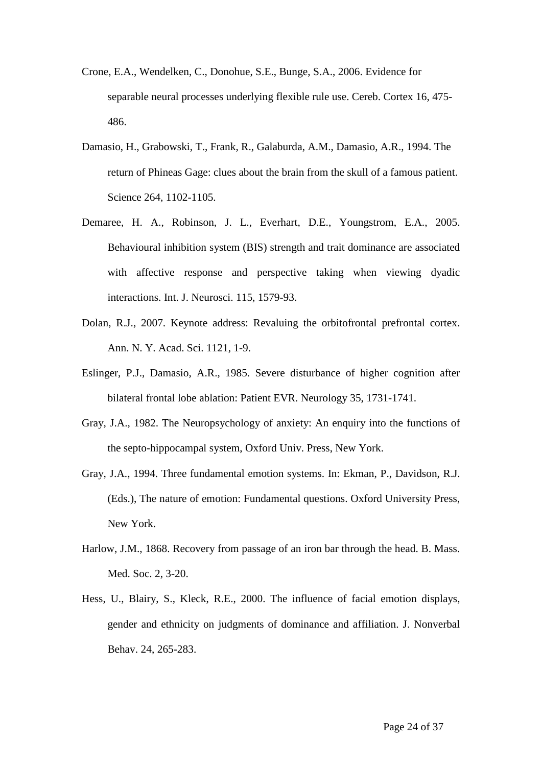- Crone, E.A., Wendelken, C., Donohue, S.E., Bunge, S.A., 2006. Evidence for separable neural processes underlying flexible rule use. Cereb. Cortex 16, 475- 486.
- Damasio, H., Grabowski, T., Frank, R., Galaburda, A.M., Damasio, A.R., 1994. The return of Phineas Gage: clues about the brain from the skull of a famous patient. Science 264, 1102-1105.
- Demaree, H. A., Robinson, J. L., Everhart, D.E., Youngstrom, E.A., 2005. Behavioural inhibition system (BIS) strength and trait dominance are associated with affective response and perspective taking when viewing dyadic interactions. Int. J. Neurosci. 115, 1579-93.
- Dolan, R.J., 2007. Keynote address: Revaluing the orbitofrontal prefrontal cortex. Ann. N. Y. Acad. Sci. 1121, 1-9.
- Eslinger, P.J., Damasio, A.R., 1985. Severe disturbance of higher cognition after bilateral frontal lobe ablation: Patient EVR. Neurology 35, 1731-1741.
- Gray, J.A., 1982. The Neuropsychology of anxiety: An enquiry into the functions of the septo-hippocampal system, Oxford Univ. Press, New York.
- Gray, J.A., 1994. Three fundamental emotion systems. In: Ekman, P., Davidson, R.J. (Eds.), The nature of emotion: Fundamental questions. Oxford University Press, New York.
- Harlow, J.M., 1868. Recovery from passage of an iron bar through the head. B. Mass. Med. Soc. 2, 3-20.
- Hess, U., Blairy, S., Kleck, R.E., 2000. The influence of facial emotion displays, gender and ethnicity on judgments of dominance and affiliation. J. Nonverbal Behav. 24, 265-283.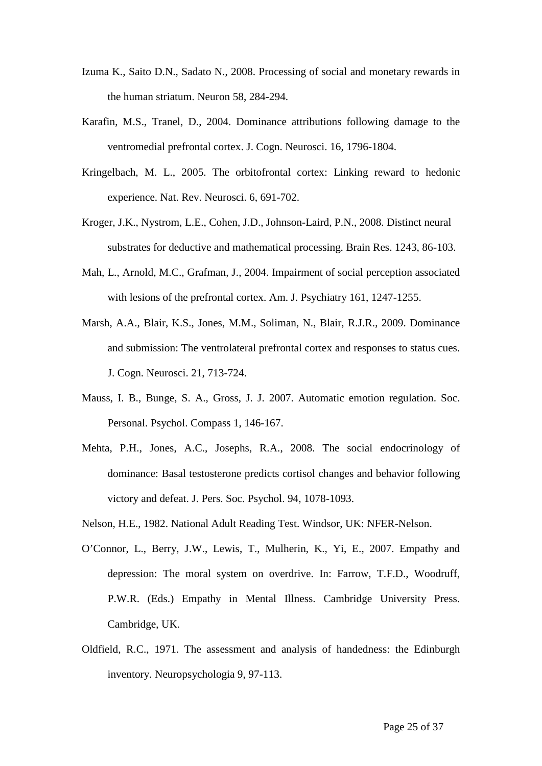- Izuma K., Saito D.N., Sadato N., 2008. Processing of social and monetary rewards in the human striatum. Neuron 58, 284-294.
- Karafin, M.S., Tranel, D., 2004. Dominance attributions following damage to the ventromedial prefrontal cortex. J. Cogn. Neurosci. 16, 1796-1804.
- Kringelbach, M. L., 2005. The orbitofrontal cortex: Linking reward to hedonic experience. Nat. Rev. Neurosci. 6, 691-702.
- Kroger, J.K., Nystrom, L.E., Cohen, J.D., Johnson-Laird, P.N., 2008. Distinct neural substrates for deductive and mathematical processing. Brain Res. 1243, 86-103.
- Mah, L., Arnold, M.C., Grafman, J., 2004. Impairment of social perception associated with lesions of the prefrontal cortex. Am. J. Psychiatry 161, 1247-1255.
- Marsh, A.A., Blair, K.S., Jones, M.M., Soliman, N., Blair, R.J.R., 2009. Dominance and submission: The ventrolateral prefrontal cortex and responses to status cues. J. Cogn. Neurosci. 21, 713-724.
- Mauss, I. B., Bunge, S. A., Gross, J. J. 2007. Automatic emotion regulation. Soc. Personal. Psychol. Compass 1, 146-167.
- Mehta, P.H., Jones, A.C., Josephs, R.A., 2008. The social endocrinology of dominance: Basal testosterone predicts cortisol changes and behavior following victory and defeat. J. Pers. Soc. Psychol. 94, 1078-1093.
- Nelson, H.E., 1982. National Adult Reading Test. Windsor, UK: NFER-Nelson.
- O'Connor, L., Berry, J.W., Lewis, T., Mulherin, K., Yi, E., 2007. Empathy and depression: The moral system on overdrive. In: Farrow, T.F.D., Woodruff, P.W.R. (Eds.) Empathy in Mental Illness. Cambridge University Press. Cambridge, UK.
- Oldfield, R.C., 1971. The assessment and analysis of handedness: the Edinburgh inventory. Neuropsychologia 9, 97-113.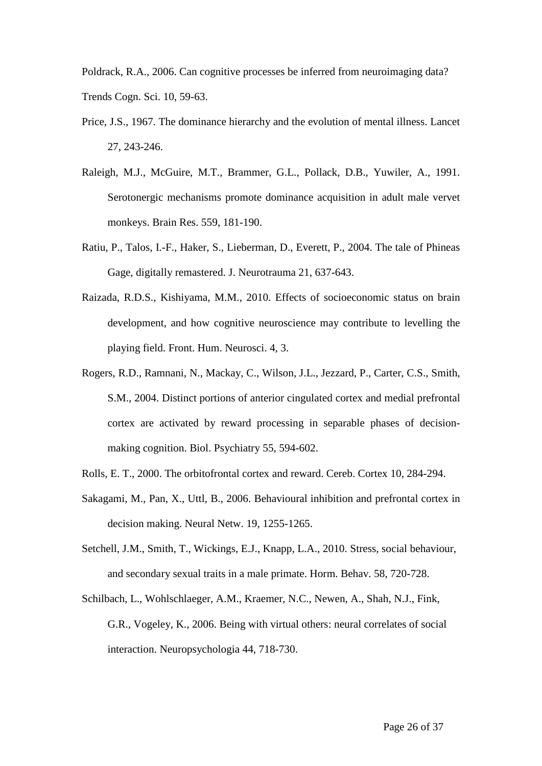Poldrack, R.A., 2006. Can cognitive processes be inferred from neuroimaging data? Trends Cogn. Sci. 10, 59-63.

- Price, J.S., 1967. The dominance hierarchy and the evolution of mental illness. Lancet 27, 243-246.
- Raleigh, M.J., McGuire, M.T., Brammer, G.L., Pollack, D.B., Yuwiler, A., 1991. Serotonergic mechanisms promote dominance acquisition in adult male vervet monkeys. Brain Res. 559, 181-190.
- Ratiu, P., Talos, I.-F., Haker, S., Lieberman, D., Everett, P., 2004. The tale of Phineas Gage, digitally remastered. J. Neurotrauma 21, 637-643.
- Raizada, R.D.S., Kishiyama, M.M., 2010. Effects of socioeconomic status on brain development, and how cognitive neuroscience may contribute to levelling the playing field. Front. Hum. Neurosci. 4, 3.
- Rogers, R.D., Ramnani, N., Mackay, C., Wilson, J.L., Jezzard, P., Carter, C.S., Smith, S.M., 2004. Distinct portions of anterior cingulated cortex and medial prefrontal cortex are activated by reward processing in separable phases of decisionmaking cognition. Biol. Psychiatry 55, 594-602.
- Rolls, E. T., 2000. The orbitofrontal cortex and reward. Cereb. Cortex 10, 284-294.
- Sakagami, M., Pan, X., Uttl, B., 2006. Behavioural inhibition and prefrontal cortex in decision making. Neural Netw. 19, 1255-1265.
- Setchell, J.M., Smith, T., Wickings, E.J., Knapp, L.A., 2010. Stress, social behaviour, and secondary sexual traits in a male primate. Horm. Behav. 58, 720-728.
- Schilbach, L., Wohlschlaeger, A.M., Kraemer, N.C., Newen, A., Shah, N.J., Fink, G.R., Vogeley, K., 2006. Being with virtual others: neural correlates of social interaction. Neuropsychologia 44, 718-730.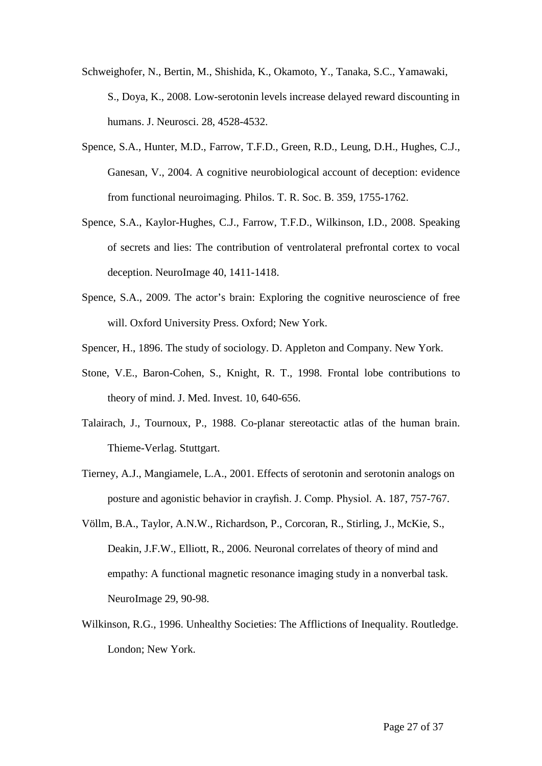Schweighofer, N., Bertin, M., Shishida, K., Okamoto, Y., Tanaka, S.C., Yamawaki, S., Doya, K., 2008. Low-serotonin levels increase delayed reward discounting in humans. J. Neurosci. 28, 4528-4532.

- Spence, S.A., Hunter, M.D., Farrow, T.F.D., Green, R.D., Leung, D.H., Hughes, C.J., Ganesan, V., 2004. A cognitive neurobiological account of deception: evidence from functional neuroimaging. Philos. T. R. Soc. B. 359, 1755-1762.
- Spence, S.A., Kaylor-Hughes, C.J., Farrow, T.F.D., Wilkinson, I.D., 2008. Speaking of secrets and lies: The contribution of ventrolateral prefrontal cortex to vocal deception. NeuroImage 40, 1411-1418.
- Spence, S.A., 2009. The actor's brain: Exploring the cognitive neuroscience of free will. Oxford University Press. Oxford; New York.
- Spencer, H., 1896. The study of sociology. D. Appleton and Company. New York.
- Stone, V.E., Baron-Cohen, S., Knight, R. T., 1998. Frontal lobe contributions to theory of mind. J. Med. Invest. 10, 640-656.
- Talairach, J., Tournoux, P., 1988. Co-planar stereotactic atlas of the human brain. Thieme-Verlag. Stuttgart.
- Tierney, A.J., Mangiamele, L.A., 2001. Effects of serotonin and serotonin analogs on posture and agonistic behavior in crayfish. J. Comp. Physiol. A. 187, 757-767.
- Völlm, B.A., Taylor, A.N.W., Richardson, P., Corcoran, R., Stirling, J., McKie, S., Deakin, J.F.W., Elliott, R., 2006. Neuronal correlates of theory of mind and empathy: A functional magnetic resonance imaging study in a nonverbal task. NeuroImage 29, 90-98.
- Wilkinson, R.G., 1996. Unhealthy Societies: The Afflictions of Inequality. Routledge. London; New York.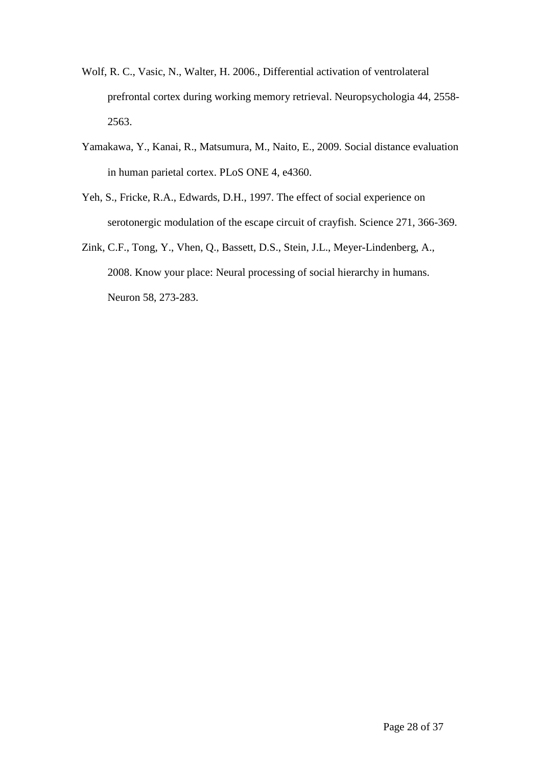- Wolf, R. C., Vasic, N., Walter, H. 2006., Differential activation of ventrolateral prefrontal cortex during working memory retrieval. Neuropsychologia 44, 2558- 2563.
- Yamakawa, Y., Kanai, R., Matsumura, M., Naito, E., 2009. Social distance evaluation in human parietal cortex. PLoS ONE 4, e4360.
- Yeh, S., Fricke, R.A., Edwards, D.H., 1997. The effect of social experience on serotonergic modulation of the escape circuit of crayfish. Science 271, 366-369.
- Zink, C.F., Tong, Y., Vhen, Q., Bassett, D.S., Stein, J.L., Meyer-Lindenberg, A., 2008. Know your place: Neural processing of social hierarchy in humans. Neuron 58, 273-283.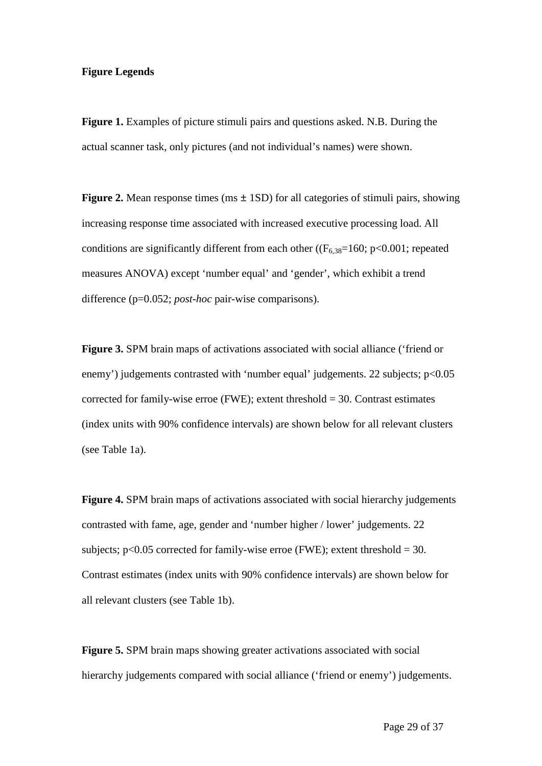#### **Figure Legends**

**Figure 1.** Examples of picture stimuli pairs and questions asked. N.B. During the actual scanner task, only pictures (and not individual's names) were shown.

**Figure 2.** Mean response times (ms  $\pm$  1SD) for all categories of stimuli pairs, showing increasing response time associated with increased executive processing load. All conditions are significantly different from each other ( $(F_{6,38}=160; p<0.001;$  repeated measures ANOVA) except 'number equal' and 'gender', which exhibit a trend difference (p=0.052; *post-hoc* pair-wise comparisons).

**Figure 3.** SPM brain maps of activations associated with social alliance ('friend or enemy') judgements contrasted with 'number equal' judgements. 22 subjects; p<0.05 corrected for family-wise erroe (FWE); extent threshold  $=$  30. Contrast estimates (index units with 90% confidence intervals) are shown below for all relevant clusters (see Table 1a).

**Figure 4.** SPM brain maps of activations associated with social hierarchy judgements contrasted with fame, age, gender and 'number higher / lower' judgements. 22 subjects;  $p<0.05$  corrected for family-wise erroe (FWE); extent threshold = 30. Contrast estimates (index units with 90% confidence intervals) are shown below for all relevant clusters (see Table 1b).

**Figure 5.** SPM brain maps showing greater activations associated with social hierarchy judgements compared with social alliance ('friend or enemy') judgements.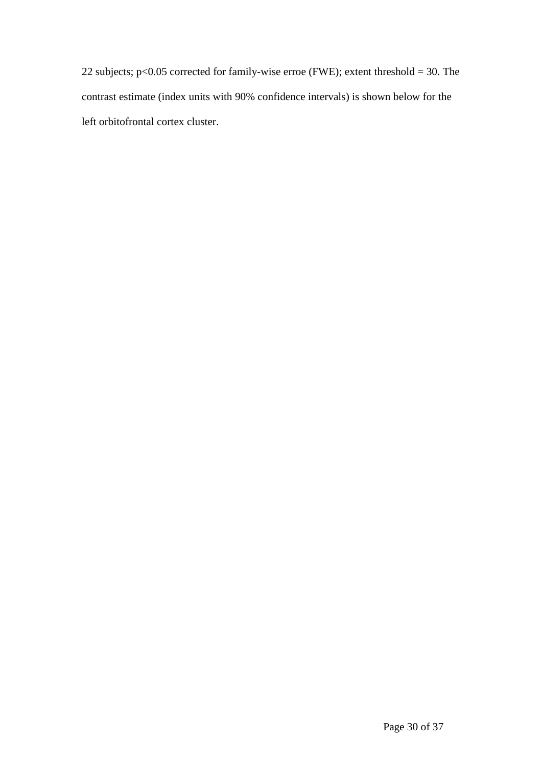22 subjects; p<0.05 corrected for family-wise erroe (FWE); extent threshold = 30. The contrast estimate (index units with 90% confidence intervals) is shown below for the left orbitofrontal cortex cluster.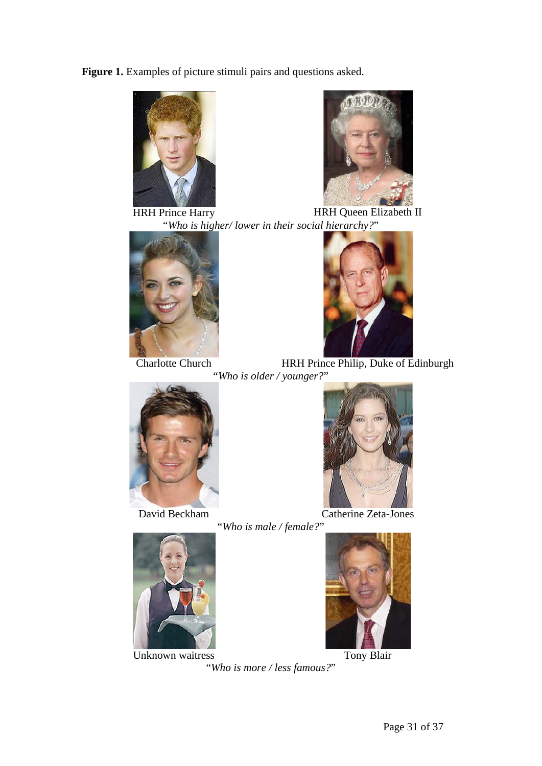**Figure 1.** Examples of picture stimuli pairs and questions asked.





HRH Prince Harry HRH Queen Elizabeth II "*Who is higher/ lower in their social hierarchy?*"





Charlotte Church HRH Prince Philip, Duke of Edinburgh "*Who is older / younger?*"





David Beckham Catherine Zeta-Jones





Unknown waitress Tony Blair



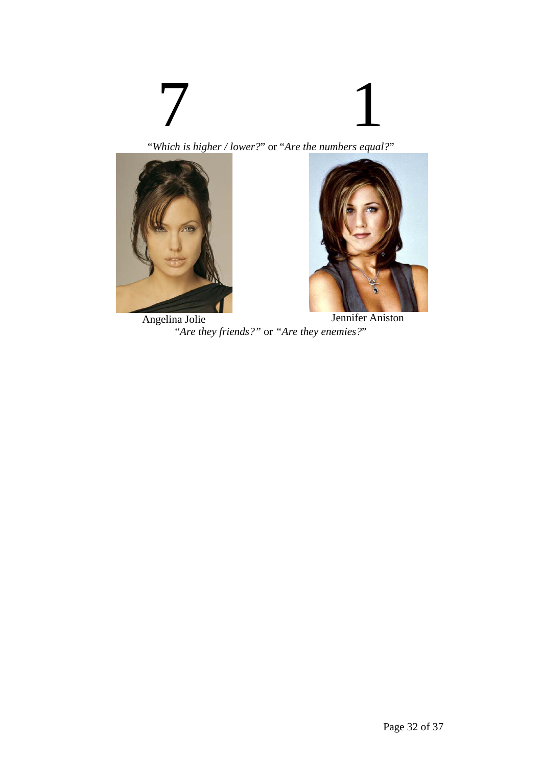# 7 1

"*Which is higher / lower?*" or "*Are the numbers equal?*"





Angelina Jolie Jennifer Aniston "*Are they friends?"* or *"Are they enemies?*"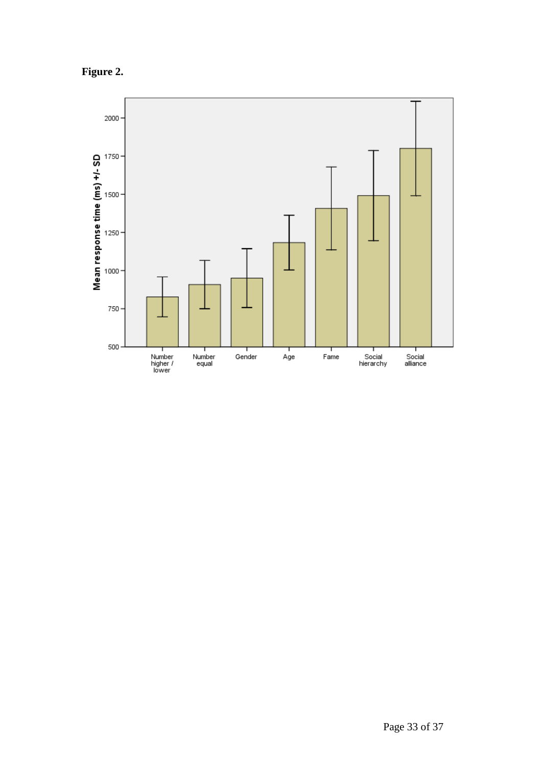**Figure 2.**

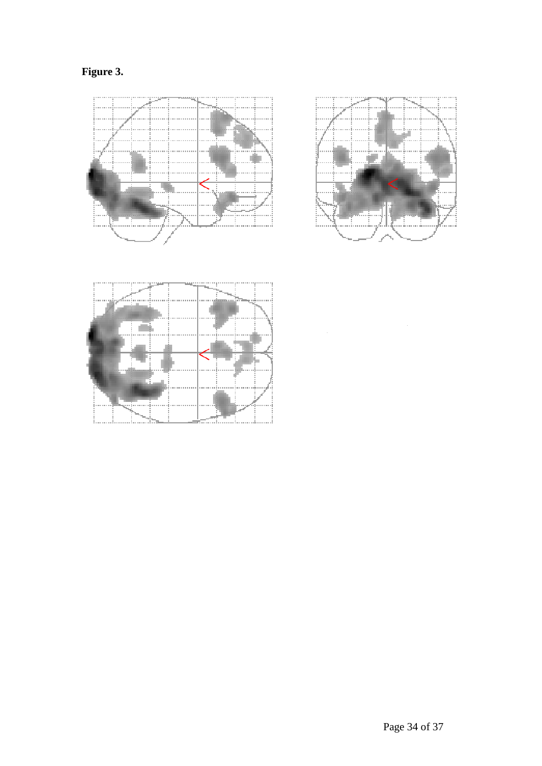**Figure 3.**





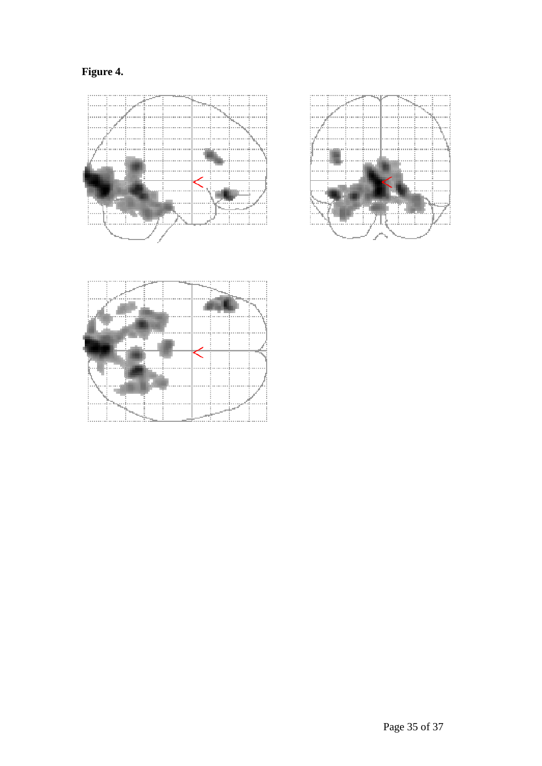





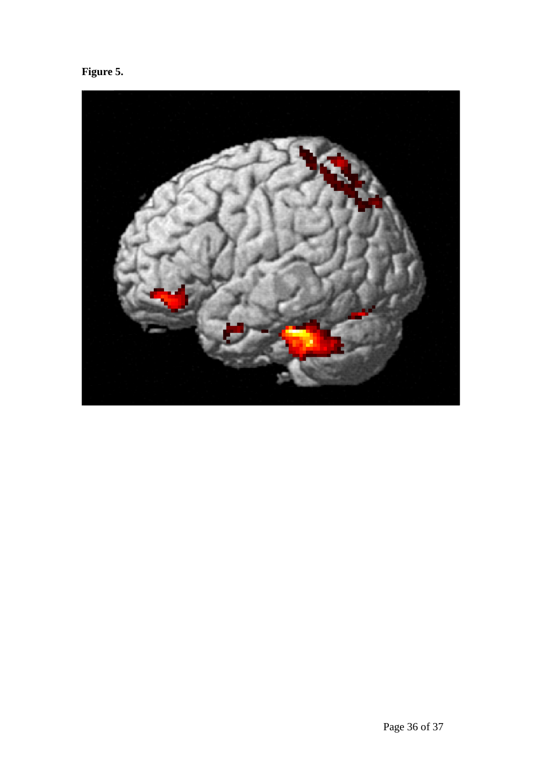